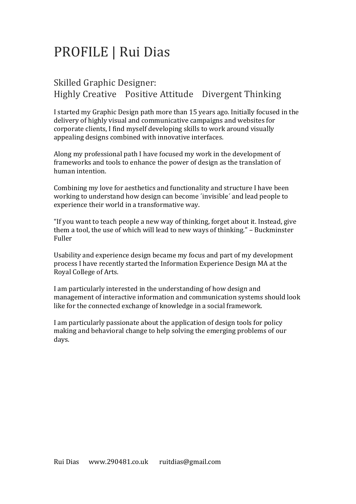# PROFILE | Rui Dias

# Skilled Graphic Designer: Highly Creative Positive Attitude Divergent Thinking

I started my Graphic Design path more than 15 years ago. Initially focused in the delivery of highly visual and communicative campaigns and websites for corporate clients, I find myself developing skills to work around visually appealing designs combined with innovative interfaces.

Along my professional path I have focused my work in the development of frameworks and tools to enhance the power of design as the translation of human intention.

Combining my love for aesthetics and functionality and structure I have been working to understand how design can become 'invisible' and lead people to experience their world in a transformative way.

"If you want to teach people a new way of thinking, forget about it. Instead, give them a tool, the use of which will lead to new ways of thinking." – Buckminster Fuller

Usability and experience design became my focus and part of my development process I have recently started the Information Experience Design MA at the Royal College of Arts.

I am particularly interested in the understanding of how design and management of interactive information and communication systems should look like for the connected exchange of knowledge in a social framework.

I am particularly passionate about the application of design tools for policy making and behavioral change to help solving the emerging problems of our days.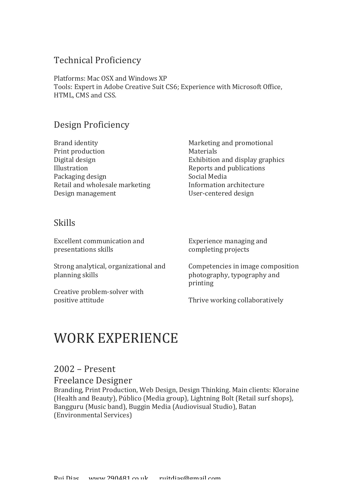### Technical Proficiency

Platforms: Mac OSX and Windows XP Tools: Expert in Adobe Creative Suit CS6; Experience with Microsoft Office, HTML, CMS and CSS.

## Design Proficiency

Brand identity Print production Digital design Illustration Packaging design Retail and wholesale marketing Design management

Marketing and promotional Materials Exhibition and display graphics Reports and publications Social Media Information architecture User-centered design

### Skills

Excellent communication and presentations skills

Strong analytical, organizational and planning skills

Creative problem-solver with positive attitude

Experience managing and completing projects

Competencies in image composition photography, typography and printing

Thrive working collaboratively

# WORK EXPERIENCE

### $2002$  – Present

#### Freelance Designer

Branding, Print Production, Web Design, Design Thinking. Main clients: Kloraine (Health and Beauty), Público (Media group), Lightning Bolt (Retail surf shops), Bangguru (Music band), Buggin Media (Audiovisual Studio), Batan (Environmental Services)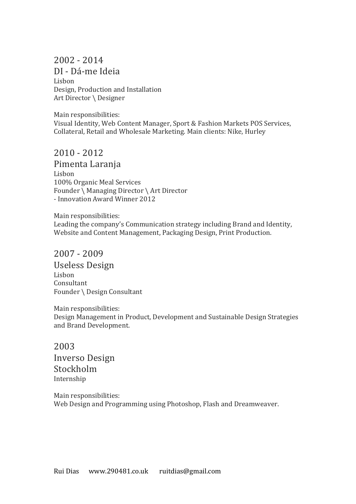# 2002 - 2014

DI - Dá-me Ideia Lisbon Design, Production and Installation Art Director \ Designer

Main responsibilities: Visual Identity, Web Content Manager, Sport & Fashion Markets POS Services, Collateral, Retail and Wholesale Marketing. Main clients: Nike, Hurley

### $2010 - 2012$

Pimenta Laranja Lisbon 100% Organic Meal Services Founder \ Managing Director \ Art Director - Innovation Award Winner 2012

Main responsibilities: Leading the company's Communication strategy including Brand and Identity, Website and Content Management, Packaging Design, Print Production.

### $2007 - 2009$

Useless Design Lisbon Consultant Founder \ Design Consultant

Main responsibilities: Design Management in Product, Development and Sustainable Design Strategies and Brand Development.

2003 Inverso Design Stockholm Internship

Main responsibilities: Web Design and Programming using Photoshop, Flash and Dreamweaver.